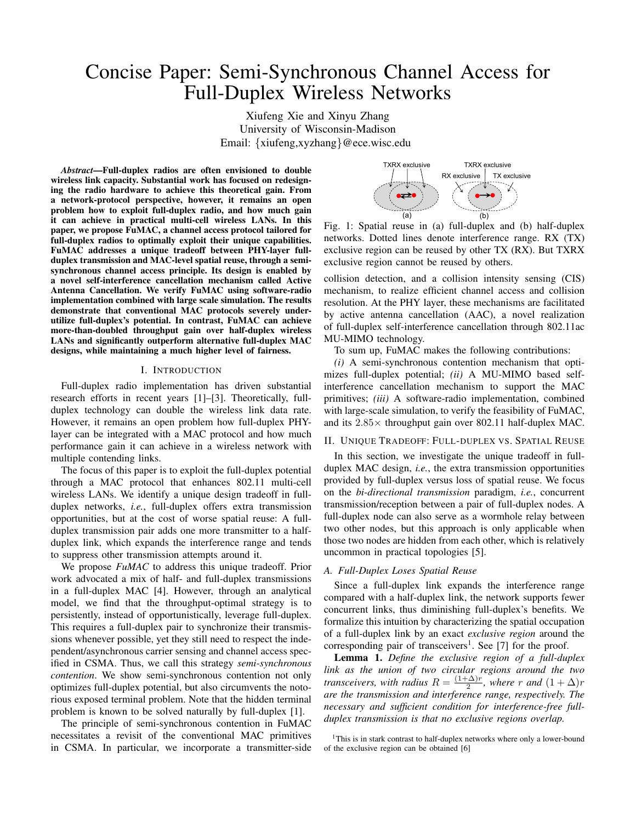# Concise Paper: Semi-Synchronous Channel Access for Full-Duplex Wireless Networks

Xiufeng Xie and Xinyu Zhang University of Wisconsin-Madison Email: {xiufeng,xyzhang}@ece.wisc.edu

*Abstract*—Full-duplex radios are often envisioned to double wireless link capacity. Substantial work has focused on redesigning the radio hardware to achieve this theoretical gain. From a network-protocol perspective, however, it remains an open problem how to exploit full-duplex radio, and how much gain it can achieve in practical multi-cell wireless LANs. In this paper, we propose FuMAC, a channel access protocol tailored for full-duplex radios to optimally exploit their unique capabilities. FuMAC addresses a unique tradeoff between PHY-layer fullduplex transmission and MAC-level spatial reuse, through a semisynchronous channel access principle. Its design is enabled by a novel self-interference cancellation mechanism called Active Antenna Cancellation. We verify FuMAC using software-radio implementation combined with large scale simulation. The results demonstrate that conventional MAC protocols severely underutilize full-duplex's potential. In contrast, FuMAC can achieve more-than-doubled throughput gain over half-duplex wireless LANs and significantly outperform alternative full-duplex MAC designs, while maintaining a much higher level of fairness.

#### I. INTRODUCTION

Full-duplex radio implementation has driven substantial research efforts in recent years [1]–[3]. Theoretically, fullduplex technology can double the wireless link data rate. However, it remains an open problem how full-duplex PHYlayer can be integrated with a MAC protocol and how much performance gain it can achieve in a wireless network with multiple contending links.

The focus of this paper is to exploit the full-duplex potential through a MAC protocol that enhances 802.11 multi-cell wireless LANs. We identify a unique design tradeoff in fullduplex networks, *i.e.*, full-duplex offers extra transmission opportunities, but at the cost of worse spatial reuse: A fullduplex transmission pair adds one more transmitter to a halfduplex link, which expands the interference range and tends to suppress other transmission attempts around it.

We propose *FuMAC* to address this unique tradeoff. Prior work advocated a mix of half- and full-duplex transmissions in a full-duplex MAC [4]. However, through an analytical model, we find that the throughput-optimal strategy is to persistently, instead of opportunistically, leverage full-duplex. This requires a full-duplex pair to synchronize their transmissions whenever possible, yet they still need to respect the independent/asynchronous carrier sensing and channel access specified in CSMA. Thus, we call this strategy *semi-synchronous contention*. We show semi-synchronous contention not only optimizes full-duplex potential, but also circumvents the notorious exposed terminal problem. Note that the hidden terminal problem is known to be solved naturally by full-duplex [1].

The principle of semi-synchronous contention in FuMAC necessitates a revisit of the conventional MAC primitives in CSMA. In particular, we incorporate a transmitter-side



Fig. 1: Spatial reuse in (a) full-duplex and (b) half-duplex networks. Dotted lines denote interference range. RX (TX) exclusive region can be reused by other TX (RX). But TXRX exclusive region cannot be reused by others.

collision detection, and a collision intensity sensing (CIS) mechanism, to realize efficient channel access and collision resolution. At the PHY layer, these mechanisms are facilitated by active antenna cancellation (AAC), a novel realization of full-duplex self-interference cancellation through 802.11ac MU-MIMO technology.

To sum up, FuMAC makes the following contributions:

*(i)* A semi-synchronous contention mechanism that optimizes full-duplex potential; *(ii)* A MU-MIMO based selfinterference cancellation mechanism to support the MAC primitives; *(iii)* A software-radio implementation, combined with large-scale simulation, to verify the feasibility of FuMAC, and its 2.85× throughput gain over 802.11 half-duplex MAC.

#### II. UNIQUE TRADEOFF: FULL-DUPLEX VS. SPATIAL REUSE

In this section, we investigate the unique tradeoff in fullduplex MAC design, *i.e.*, the extra transmission opportunities provided by full-duplex versus loss of spatial reuse. We focus on the *bi-directional transmission* paradigm, *i.e.*, concurrent transmission/reception between a pair of full-duplex nodes. A full-duplex node can also serve as a wormhole relay between two other nodes, but this approach is only applicable when those two nodes are hidden from each other, which is relatively uncommon in practical topologies [5].

## *A. Full-Duplex Loses Spatial Reuse*

Since a full-duplex link expands the interference range compared with a half-duplex link, the network supports fewer concurrent links, thus diminishing full-duplex's benefits. We formalize this intuition by characterizing the spatial occupation of a full-duplex link by an exact *exclusive region* around the corresponding pair of transceivers<sup>1</sup>. See [7] for the proof.

Lemma 1. *Define the exclusive region of a full-duplex link as the union of two circular regions around the two transceivers, with radius*  $R = \frac{(1+\Delta)r}{2}$  $\frac{(-\Delta)r}{2}$ , where r and  $(1 + \Delta)r$ *are the transmission and interference range, respectively. The necessary and sufficient condition for interference-free fullduplex transmission is that no exclusive regions overlap.*

<sup>&</sup>lt;sup>1</sup>This is in stark contrast to half-duplex networks where only a lower-bound of the exclusive region can be obtained [6]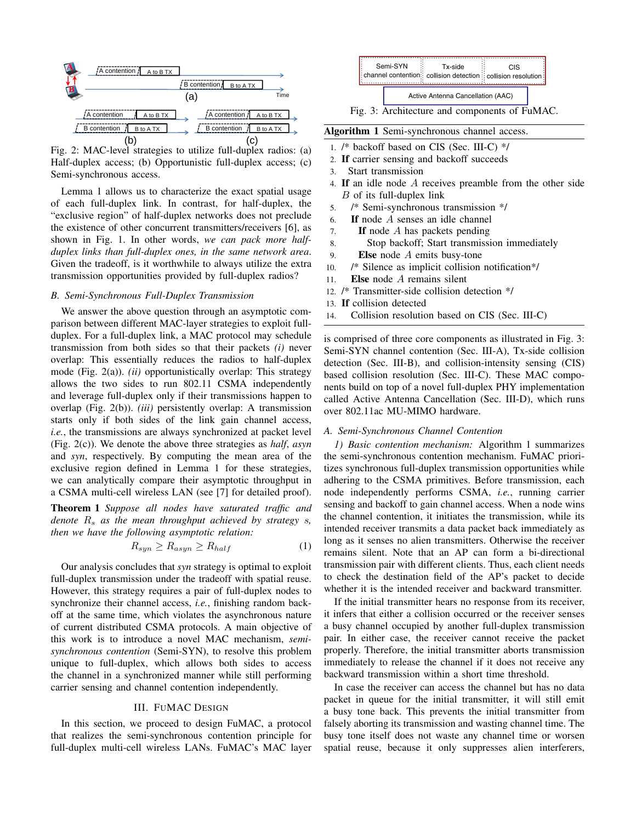

Fig. 2: MAC-level strategies to utilize full-duplex radios: (a) Half-duplex access; (b) Opportunistic full-duplex access; (c) Semi-synchronous access.

Lemma 1 allows us to characterize the exact spatial usage of each full-duplex link. In contrast, for half-duplex, the "exclusive region" of half-duplex networks does not preclude the existence of other concurrent transmitters/receivers [6], as shown in Fig. 1. In other words, *we can pack more halfduplex links than full-duplex ones, in the same network area*. Given the tradeoff, is it worthwhile to always utilize the extra transmission opportunities provided by full-duplex radios?

## *B. Semi-Synchronous Full-Duplex Transmission*

We answer the above question through an asymptotic comparison between different MAC-layer strategies to exploit fullduplex. For a full-duplex link, a MAC protocol may schedule transmission from both sides so that their packets *(i)* never overlap: This essentially reduces the radios to half-duplex mode (Fig. 2(a)). *(ii)* opportunistically overlap: This strategy allows the two sides to run 802.11 CSMA independently and leverage full-duplex only if their transmissions happen to overlap (Fig. 2(b)). *(iii)* persistently overlap: A transmission starts only if both sides of the link gain channel access, *i.e.*, the transmissions are always synchronized at packet level (Fig. 2(c)). We denote the above three strategies as *half*, *asyn* and *syn*, respectively. By computing the mean area of the exclusive region defined in Lemma 1 for these strategies, we can analytically compare their asymptotic throughput in a CSMA multi-cell wireless LAN (see [7] for detailed proof). Fundamental  $\frac{1}{2}$  (alternative  $\frac{1}{2}$  (alternative  $\frac{1}{2}$  (alternative  $\frac{1}{2}$  (alternative  $\frac{1}{2}$  (alternative  $\frac{1}{2}$  (alternative  $\frac{1}{2}$  (alternative  $\frac{1}{2}$  (alternative  $\frac{1}{2}$  (alternative  $\$ 

Theorem 1 *Suppose all nodes have saturated traffic and denote*  $R_s$  *as the mean throughput achieved by strategy s, then we have the following asymptotic relation:*

$$
R_{syn} \ge R_{asyn} \ge R_{half} \tag{1}
$$

Our analysis concludes that *syn* strategy is optimal to exploit full-duplex transmission under the tradeoff with spatial reuse. However, this strategy requires a pair of full-duplex nodes to synchronize their channel access, *i.e.*, finishing random backoff at the same time, which violates the asynchronous nature of current distributed CSMA protocols. A main objective of this work is to introduce a novel MAC mechanism, *semisynchronous contention* (Semi-SYN), to resolve this problem unique to full-duplex, which allows both sides to access the channel in a synchronized manner while still performing carrier sensing and channel contention independently.

## III. FUMAC DESIGN

In this section, we proceed to design FuMAC, a protocol that realizes the semi-synchronous contention principle for



Fig. 3: Architecture and components of FuMAC.

## Algorithm 1 Semi-synchronous channel access.

1. /\* backoff based on CIS (Sec. III-C) \*/

- 2. If carrier sensing and backoff succeeds
- 3. Start transmission
- 4. If an idle node A receives preamble from the other side B of its full-duplex link
- 5. /\* Semi-synchronous transmission \*/
- 6. If node A senses an idle channel
- 7. If node A has packets pending
- 8. Stop backoff; Start transmission immediately
- 9. Else node A emits busy-tone
- 10. /\* Silence as implicit collision notification\*/
- 11. Else node A remains silent
- 12. /\* Transmitter-side collision detection \*/
- 13. If collision detected
- 14. Collision resolution based on CIS (Sec. III-C)

is comprised of three core components as illustrated in Fig. 3: Semi-SYN channel contention (Sec. III-A), Tx-side collision detection (Sec. III-B), and collision-intensity sensing (CIS) based collision resolution (Sec. III-C). These MAC components build on top of a novel full-duplex PHY implementation called Active Antenna Cancellation (Sec. III-D), which runs over 802.11ac MU-MIMO hardware.

#### *A. Semi-Synchronous Channel Contention*

*1) Basic contention mechanism:* Algorithm 1 summarizes the semi-synchronous contention mechanism. FuMAC prioritizes synchronous full-duplex transmission opportunities while adhering to the CSMA primitives. Before transmission, each node independently performs CSMA, *i.e.*, running carrier sensing and backoff to gain channel access. When a node wins the channel contention, it initiates the transmission, while its intended receiver transmits a data packet back immediately as long as it senses no alien transmitters. Otherwise the receiver remains silent. Note that an AP can form a bi-directional transmission pair with different clients. Thus, each client needs to check the destination field of the AP's packet to decide whether it is the intended receiver and backward transmitter.

If the initial transmitter hears no response from its receiver, it infers that either a collision occurred or the receiver senses a busy channel occupied by another full-duplex transmission pair. In either case, the receiver cannot receive the packet properly. Therefore, the initial transmitter aborts transmission immediately to release the channel if it does not receive any backward transmission within a short time threshold.

In case the receiver can access the channel but has no data packet in queue for the initial transmitter, it will still emit a busy tone back. This prevents the initial transmitter from falsely aborting its transmission and wasting channel time. The busy tone itself does not waste any channel time or worsen spatial reuse, because it only suppresses alien interferers,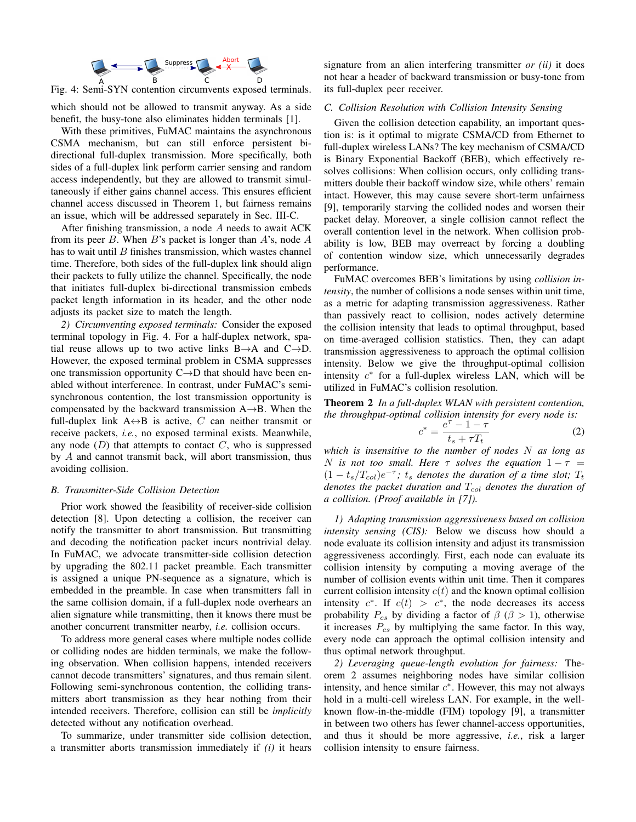

A B C D Fig. 4: Semi-SYN contention circumvents exposed terminals. which should not be allowed to transmit anyway. As a side

benefit, the busy-tone also eliminates hidden terminals [1].

With these primitives, FuMAC maintains the asynchronous CSMA mechanism, but can still enforce persistent bidirectional full-duplex transmission. More specifically, both sides of a full-duplex link perform carrier sensing and random access independently, but they are allowed to transmit simultaneously if either gains channel access. This ensures efficient channel access discussed in Theorem 1, but fairness remains an issue, which will be addressed separately in Sec. III-C.

After finishing transmission, a node A needs to await ACK from its peer  $B$ . When  $B$ 's packet is longer than  $A$ 's, node  $A$ has to wait until  $B$  finishes transmission, which wastes channel time. Therefore, both sides of the full-duplex link should align their packets to fully utilize the channel. Specifically, the node that initiates full-duplex bi-directional transmission embeds packet length information in its header, and the other node adjusts its packet size to match the length.

*2) Circumventing exposed terminals:* Consider the exposed terminal topology in Fig. 4. For a half-duplex network, spatial reuse allows up to two active links  $B \rightarrow A$  and  $C \rightarrow D$ . However, the exposed terminal problem in CSMA suppresses one transmission opportunity  $C \rightarrow D$  that should have been enabled without interference. In contrast, under FuMAC's semisynchronous contention, the lost transmission opportunity is compensated by the backward transmission  $A \rightarrow B$ . When the full-duplex link  $A \leftrightarrow B$  is active, C can neither transmit or receive packets, *i.e.*, no exposed terminal exists. Meanwhile, any node  $(D)$  that attempts to contact  $C$ , who is suppressed by A and cannot transmit back, will abort transmission, thus avoiding collision.

## *B. Transmitter-Side Collision Detection*

Prior work showed the feasibility of receiver-side collision detection [8]. Upon detecting a collision, the receiver can notify the transmitter to abort transmission. But transmitting and decoding the notification packet incurs nontrivial delay. In FuMAC, we advocate transmitter-side collision detection by upgrading the 802.11 packet preamble. Each transmitter is assigned a unique PN-sequence as a signature, which is embedded in the preamble. In case when transmitters fall in the same collision domain, if a full-duplex node overhears an alien signature while transmitting, then it knows there must be another concurrent transmitter nearby, *i.e.* collision occurs.

To address more general cases where multiple nodes collide or colliding nodes are hidden terminals, we make the following observation. When collision happens, intended receivers cannot decode transmitters' signatures, and thus remain silent. Following semi-synchronous contention, the colliding transmitters abort transmission as they hear nothing from their intended receivers. Therefore, collision can still be *implicitly* detected without any notification overhead.

To summarize, under transmitter side collision detection, a transmitter aborts transmission immediately if *(i)* it hears

signature from an alien interfering transmitter *or (ii)* it does not hear a header of backward transmission or busy-tone from its full-duplex peer receiver.

## *C. Collision Resolution with Collision Intensity Sensing*

Given the collision detection capability, an important question is: is it optimal to migrate CSMA/CD from Ethernet to full-duplex wireless LANs? The key mechanism of CSMA/CD is Binary Exponential Backoff (BEB), which effectively resolves collisions: When collision occurs, only colliding transmitters double their backoff window size, while others' remain intact. However, this may cause severe short-term unfairness [9], temporarily starving the collided nodes and worsen their packet delay. Moreover, a single collision cannot reflect the overall contention level in the network. When collision probability is low, BEB may overreact by forcing a doubling of contention window size, which unnecessarily degrades performance.

FuMAC overcomes BEB's limitations by using *collision intensity*, the number of collisions a node senses within unit time, as a metric for adapting transmission aggressiveness. Rather than passively react to collision, nodes actively determine the collision intensity that leads to optimal throughput, based on time-averaged collision statistics. Then, they can adapt transmission aggressiveness to approach the optimal collision intensity. Below we give the throughput-optimal collision intensity  $c^*$  for a full-duplex wireless LAN, which will be utilized in FuMAC's collision resolution.

Theorem 2 *In a full-duplex WLAN with persistent contention, the throughput-optimal collision intensity for every node is:*

$$
c^* = \frac{e^{\tau} - 1 - \tau}{t_s + \tau T_t} \tag{2}
$$

*which is insensitive to the number of nodes* N *as long as* N is not too small. Here  $\tau$  solves the equation  $1 - \tau$  =  $(1-t_s/T_{col})e^{-\tau}$ ;  $t_s$  denotes the duration of a time slot;  $T_t$ *denotes the packet duration and*  $T_{col}$  *denotes the duration of a collision. (Proof available in [7]).*

*1) Adapting transmission aggressiveness based on collision intensity sensing (CIS):* Below we discuss how should a node evaluate its collision intensity and adjust its transmission aggressiveness accordingly. First, each node can evaluate its collision intensity by computing a moving average of the number of collision events within unit time. Then it compares current collision intensity  $c(t)$  and the known optimal collision intensity  $c^*$ . If  $c(t) > c^*$ , the node decreases its access probability  $P_{cs}$  by dividing a factor of  $\beta$  ( $\beta > 1$ ), otherwise it increases  $P_{cs}$  by multiplying the same factor. In this way, every node can approach the optimal collision intensity and thus optimal network throughput.

*2) Leveraging queue-length evolution for fairness:* Theorem 2 assumes neighboring nodes have similar collision intensity, and hence similar  $c^*$ . However, this may not always hold in a multi-cell wireless LAN. For example, in the wellknown flow-in-the-middle (FIM) topology [9], a transmitter in between two others has fewer channel-access opportunities, and thus it should be more aggressive, *i.e.*, risk a larger collision intensity to ensure fairness.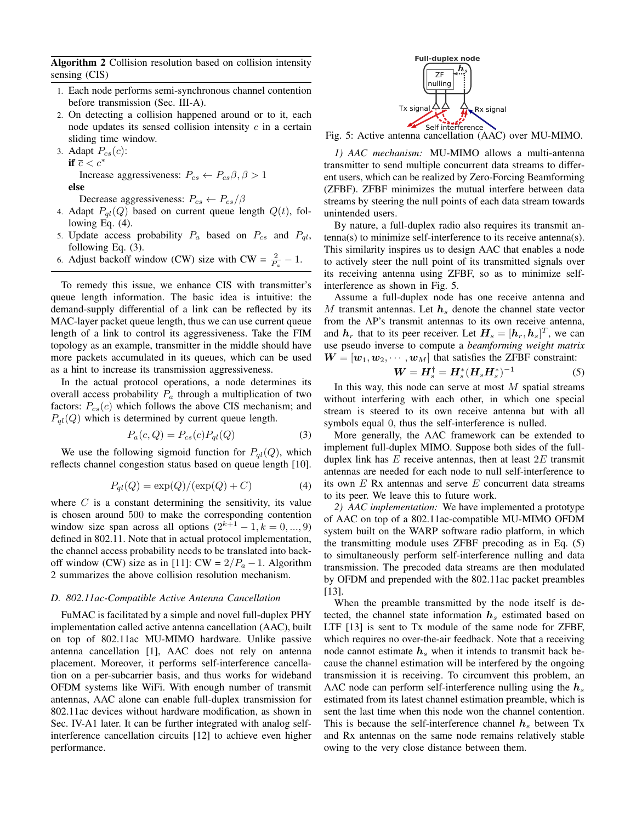Algorithm 2 Collision resolution based on collision intensity sensing (CIS)

- 1. Each node performs semi-synchronous channel contention before transmission (Sec. III-A).
- 2. On detecting a collision happened around or to it, each node updates its sensed collision intensity  $c$  in a certain sliding time window.
- 3. Adapt  $P_{cs}(c)$ :
	- if  $\bar{c} < c^*$

Increase aggressiveness:  $P_{cs} \leftarrow P_{cs} \beta, \beta > 1$ else

Decrease aggressiveness:  $P_{cs} \leftarrow P_{cs} / \beta$ 

- 4. Adapt  $P_{ql}(Q)$  based on current queue length  $Q(t)$ , following Eq. (4).
- 5. Update access probability  $P_a$  based on  $P_{cs}$  and  $P_{ql}$ , following Eq. (3).
- 6. Adjust backoff window (CW) size with CW =  $\frac{2}{P_a}$  1.

To remedy this issue, we enhance CIS with transmitter's queue length information. The basic idea is intuitive: the demand-supply differential of a link can be reflected by its MAC-layer packet queue length, thus we can use current queue length of a link to control its aggressiveness. Take the FIM topology as an example, transmitter in the middle should have more packets accumulated in its queues, which can be used as a hint to increase its transmission aggressiveness.

In the actual protocol operations, a node determines its overall access probability  $P_a$  through a multiplication of two factors:  $P_{cs}(c)$  which follows the above CIS mechanism; and  $P_{ql}(Q)$  which is determined by current queue length.

$$
P_a(c,Q) = P_{cs}(c)P_{ql}(Q)
$$
\n(3)

We use the following sigmoid function for  $P_{ql}(Q)$ , which reflects channel congestion status based on queue length [10].

$$
P_{ql}(Q) = \exp(Q)/(\exp(Q) + C)
$$
 (4)

where  $C$  is a constant determining the sensitivity, its value is chosen around 500 to make the corresponding contention window size span across all options  $(2^{k+1} - 1, k = 0, ..., 9)$ defined in 802.11. Note that in actual protocol implementation, the channel access probability needs to be translated into backoff window (CW) size as in [11]: CW =  $2/P_a - 1$ . Algorithm 2 summarizes the above collision resolution mechanism.

### *D. 802.11ac-Compatible Active Antenna Cancellation*

FuMAC is facilitated by a simple and novel full-duplex PHY implementation called active antenna cancellation (AAC), built on top of 802.11ac MU-MIMO hardware. Unlike passive antenna cancellation [1], AAC does not rely on antenna placement. Moreover, it performs self-interference cancellation on a per-subcarrier basis, and thus works for wideband OFDM systems like WiFi. With enough number of transmit antennas, AAC alone can enable full-duplex transmission for 802.11ac devices without hardware modification, as shown in Sec. IV-A1 later. It can be further integrated with analog selfinterference cancellation circuits [12] to achieve even higher performance.



Self interference<br>Fig. 5: Active antenna cancellation (AAC) over MU-MIMO.

*1) AAC mechanism:* MU-MIMO allows a multi-antenna transmitter to send multiple concurrent data streams to different users, which can be realized by Zero-Forcing Beamforming (ZFBF). ZFBF minimizes the mutual interfere between data streams by steering the null points of each data stream towards unintended users.

By nature, a full-duplex radio also requires its transmit antenna(s) to minimize self-interference to its receive antenna(s). This similarity inspires us to design AAC that enables a node to actively steer the null point of its transmitted signals over its receiving antenna using ZFBF, so as to minimize selfinterference as shown in Fig. 5.

Assume a full-duplex node has one receive antenna and  $M$  transmit antennas. Let  $h_s$  denote the channel state vector from the AP's transmit antennas to its own receive antenna, and  $h_r$  that to its peer receiver. Let  $H_s = [h_r, h_s]^T$ , we can use pseudo inverse to compute a *beamforming weight matrix*  $W = [\mathbf{w}_1, \mathbf{w}_2, \cdots, \mathbf{w}_M]$  that satisfies the ZFBF constraint:

$$
W = H_s^{\dagger} = H_s^* (H_s H_s^*)^{-1} \tag{5}
$$

In this way, this node can serve at most  $M$  spatial streams without interfering with each other, in which one special stream is steered to its own receive antenna but with all symbols equal 0, thus the self-interference is nulled.

More generally, the AAC framework can be extended to implement full-duplex MIMO. Suppose both sides of the fullduplex link has  $E$  receive antennas, then at least  $2E$  transmit antennas are needed for each node to null self-interference to its own  $E$  Rx antennas and serve  $E$  concurrent data streams to its peer. We leave this to future work.

*2) AAC implementation:* We have implemented a prototype of AAC on top of a 802.11ac-compatible MU-MIMO OFDM system built on the WARP software radio platform, in which the transmitting module uses ZFBF precoding as in Eq. (5) to simultaneously perform self-interference nulling and data transmission. The precoded data streams are then modulated by OFDM and prepended with the 802.11ac packet preambles [13].

When the preamble transmitted by the node itself is detected, the channel state information  $h_s$  estimated based on LTF [13] is sent to Tx module of the same node for ZFBF, which requires no over-the-air feedback. Note that a receiving node cannot estimate  $h<sub>s</sub>$  when it intends to transmit back because the channel estimation will be interfered by the ongoing transmission it is receiving. To circumvent this problem, an AAC node can perform self-interference nulling using the  $h_s$ estimated from its latest channel estimation preamble, which is sent the last time when this node won the channel contention. This is because the self-interference channel  $h_s$  between Tx and Rx antennas on the same node remains relatively stable owing to the very close distance between them.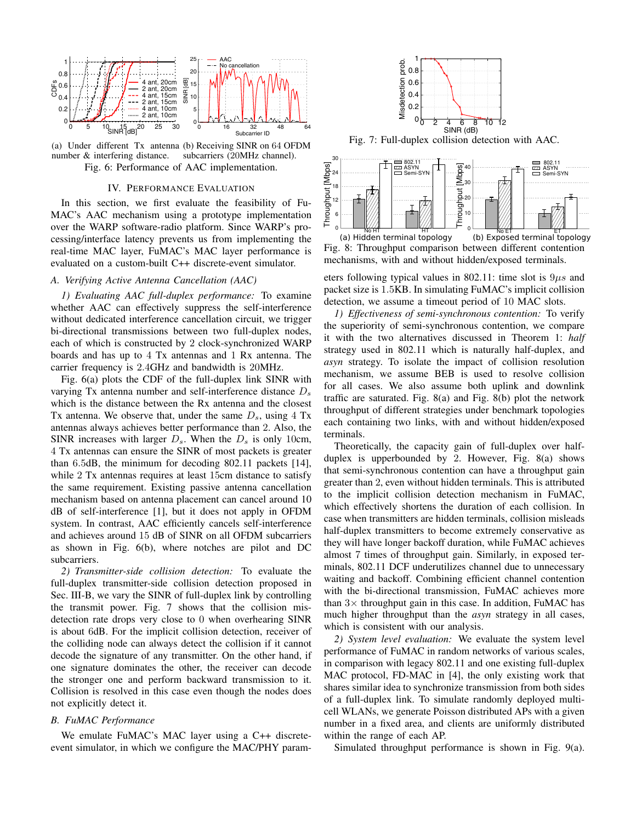

(a) Under different Tx antenna (b) Receiving SINR on 64 OFDM number & interfering distance. subcarriers (20MHz channel). Fig. 6: Performance of AAC implementation.

## IV. PERFORMANCE EVALUATION

In this section, we first evaluate the feasibility of Fu-MAC's AAC mechanism using a prototype implementation over the WARP software-radio platform. Since WARP's processing/interface latency prevents us from implementing the real-time MAC layer, FuMAC's MAC layer performance is evaluated on a custom-built C++ discrete-event simulator.

## *A. Verifying Active Antenna Cancellation (AAC)*

*1) Evaluating AAC full-duplex performance:* To examine whether AAC can effectively suppress the self-interference without dedicated interference cancellation circuit, we trigger bi-directional transmissions between two full-duplex nodes, each of which is constructed by 2 clock-synchronized WARP boards and has up to 4 Tx antennas and 1 Rx antenna. The carrier frequency is 2.4GHz and bandwidth is 20MHz.

Fig. 6(a) plots the CDF of the full-duplex link SINR with varying Tx antenna number and self-interference distance  $D_s$ which is the distance between the Rx antenna and the closest Tx antenna. We observe that, under the same  $D_s$ , using 4 Tx antennas always achieves better performance than 2. Also, the SINR increases with larger  $D_s$ . When the  $D_s$  is only 10cm, 4 Tx antennas can ensure the SINR of most packets is greater than 6.5dB, the minimum for decoding 802.11 packets [14], while 2 Tx antennas requires at least 15cm distance to satisfy the same requirement. Existing passive antenna cancellation mechanism based on antenna placement can cancel around 10 dB of self-interference [1], but it does not apply in OFDM system. In contrast, AAC efficiently cancels self-interference and achieves around 15 dB of SINR on all OFDM subcarriers as shown in Fig. 6(b), where notches are pilot and DC subcarriers.

*2) Transmitter-side collision detection:* To evaluate the full-duplex transmitter-side collision detection proposed in Sec. III-B, we vary the SINR of full-duplex link by controlling the transmit power. Fig. 7 shows that the collision misdetection rate drops very close to 0 when overhearing SINR is about 6dB. For the implicit collision detection, receiver of the colliding node can always detect the collision if it cannot decode the signature of any transmitter. On the other hand, if one signature dominates the other, the receiver can decode the stronger one and perform backward transmission to it. Collision is resolved in this case even though the nodes does not explicitly detect it.

## *B. FuMAC Performance*

We emulate FuMAC's MAC layer using a C++ discreteevent simulator, in which we configure the MAC/PHY param-



Fig. 7: Full-duplex collision detection with AAC.



No ET<br>(a) Hidden terminal topology (b) Exposed terminal topology (a) Hidden terminal topology Fig. 8: Throughput comparison between different contention mechanisms, with and without hidden/exposed terminals.

eters following typical values in 802.11: time slot is  $9\mu s$  and packet size is 1.5KB. In simulating FuMAC's implicit collision detection, we assume a timeout period of 10 MAC slots.

*1) Effectiveness of semi-synchronous contention:* To verify the superiority of semi-synchronous contention, we compare it with the two alternatives discussed in Theorem 1: *half* strategy used in 802.11 which is naturally half-duplex, and *asyn* strategy. To isolate the impact of collision resolution mechanism, we assume BEB is used to resolve collision for all cases. We also assume both uplink and downlink traffic are saturated. Fig. 8(a) and Fig. 8(b) plot the network throughput of different strategies under benchmark topologies each containing two links, with and without hidden/exposed terminals.

Theoretically, the capacity gain of full-duplex over halfduplex is upperbounded by 2. However, Fig. 8(a) shows that semi-synchronous contention can have a throughput gain greater than 2, even without hidden terminals. This is attributed to the implicit collision detection mechanism in FuMAC, which effectively shortens the duration of each collision. In case when transmitters are hidden terminals, collision misleads half-duplex transmitters to become extremely conservative as they will have longer backoff duration, while FuMAC achieves almost 7 times of throughput gain. Similarly, in exposed terminals, 802.11 DCF underutilizes channel due to unnecessary waiting and backoff. Combining efficient channel contention with the bi-directional transmission, FuMAC achieves more than  $3\times$  throughput gain in this case. In addition, FuMAC has much higher throughput than the *asyn* strategy in all cases, which is consistent with our analysis.

*2) System level evaluation:* We evaluate the system level performance of FuMAC in random networks of various scales, in comparison with legacy 802.11 and one existing full-duplex MAC protocol, FD-MAC in [4], the only existing work that shares similar idea to synchronize transmission from both sides of a full-duplex link. To simulate randomly deployed multicell WLANs, we generate Poisson distributed APs with a given number in a fixed area, and clients are uniformly distributed within the range of each AP.

Simulated throughput performance is shown in Fig. 9(a).